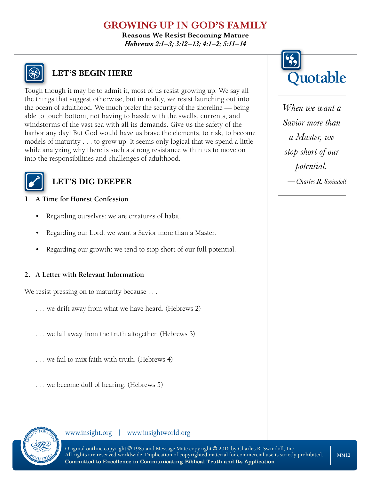# **GROWING UP IN GOD'S FAMILY**

**Reasons We Resist Becoming Mature** *Hebrews 2:1–3; 3:12–13; 4:1–2; 5:11–14*



# **LET'S BEGIN HERE**

Tough though it may be to admit it, most of us resist growing up. We say all the things that suggest otherwise, but in reality, we resist launching out into the ocean of adulthood. We much prefer the security of the shoreline — being able to touch bottom, not having to hassle with the swells, currents, and windstorms of the vast sea with all its demands. Give us the safety of the harbor any day! But God would have us brave the elements, to risk, to become models of maturity . . . to grow up. It seems only logical that we spend a little while analyzing why there is such a strong resistance within us to move on into the responsibilities and challenges of adulthood.



## **LET'S DIG DEEPER**

#### **1. A Time for Honest Confession**

- Regarding ourselves: we are creatures of habit.
- Regarding our Lord: we want a Savior more than a Master.
- Regarding our growth: we tend to stop short of our full potential.

#### **2. A Letter with Relevant Information**

We resist pressing on to maturity because . . .

- . . . we drift away from what we have heard. (Hebrews 2)
- . . . we fall away from the truth altogether. (Hebrews 3)
- . . . we fail to mix faith with truth. (Hebrews 4)
- . . . we become dull of hearing. (Hebrews 5)







*When we want a Savior more than a Master, we stop short of our potential. —Charles R. Swindoll*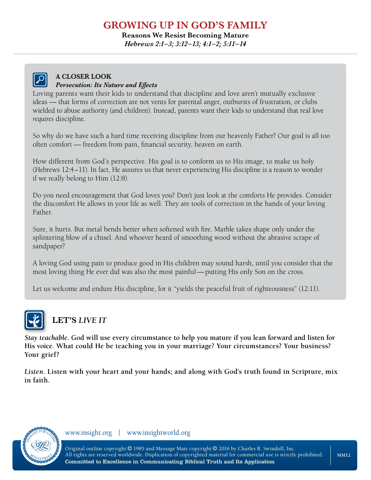## **GROWING UP IN GOD'S FAMILY**

**Reasons We Resist Becoming Mature**

*Hebrews 2:1–3; 3:12–13; 4:1–2; 5:11–14*



#### **A CLOSER LOOK** *Persecution: Its Nature and Effects*

Loving parents want their kids to understand that discipline and love aren't mutually exclusive ideas — that forms of correction are not vents for parental anger, outbursts of frustration, or clubs wielded to abuse authority (and children). Instead, parents want their kids to understand that real love *requires* discipline.

So why do we have such a hard time receiving discipline from our heavenly Father? Our goal is all too often comfort — freedom from pain, financial security, heaven on earth.

How different from God's perspective. His goal is to conform us to His image, to make us holy (Hebrews 12:4–11). In fact, He assures us that never experiencing His discipline is a reason to wonder if we really belong to Him (12:8).

Do you need encouragement that God loves you? Don't just look at the comforts He provides. Consider the discomfort He allows in your life as well. They are tools of correction in the hands of your loving Father.

Sure, it hurts. But metal bends better when softened with fire. Marble takes shape only under the splintering blow of a chisel. And whoever heard of smoothing wood without the abrasive scrape of sandpaper?

A loving God using pain to produce good in His children may sound harsh, until you consider that the most loving thing He ever did was also the most painful—putting His only Son on the cross.

Let us welcome and endure His discipline, for it "yields the peaceful fruit of righteousness" (12:11).



# **LET'S** *LIVE IT*

*Stay teachable***. God will use every circumstance to help you mature if you lean forward and listen for His voice. What could He be teaching you in your marriage? Your circumstances? Your business? Your grief?** 

*Listen***. Listen with your heart and your hands; and along with God's truth found in Scripture, mix in faith.**



www.insight.org | www.insightworld.org